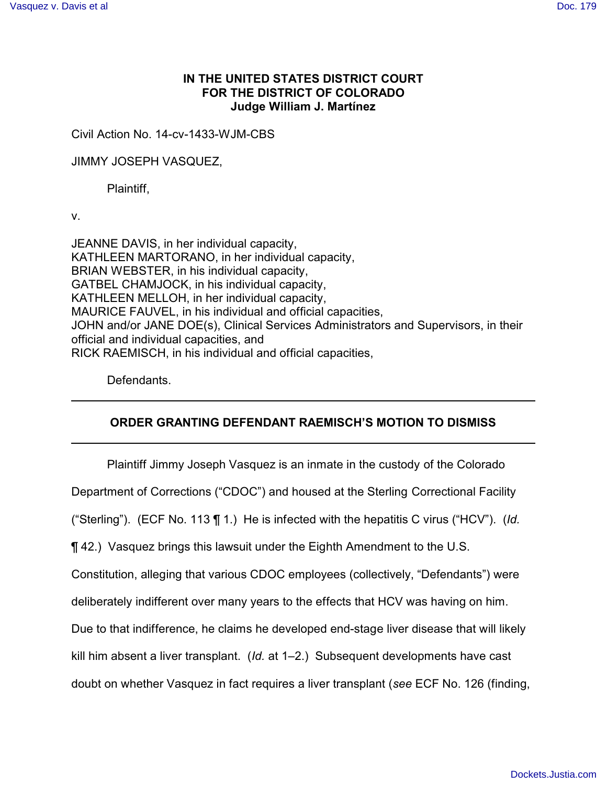# **IN THE UNITED STATES DISTRICT COURT FOR THE DISTRICT OF COLORADO Judge William J. Martínez**

Civil Action No. 14-cv-1433-WJM-CBS

JIMMY JOSEPH VASQUEZ,

Plaintiff,

v.

JEANNE DAVIS, in her individual capacity, KATHLEEN MARTORANO, in her individual capacity, BRIAN WEBSTER, in his individual capacity, GATBEL CHAMJOCK, in his individual capacity, KATHLEEN MELLOH, in her individual capacity, MAURICE FAUVEL, in his individual and official capacities, JOHN and/or JANE DOE(s), Clinical Services Administrators and Supervisors, in their official and individual capacities, and RICK RAEMISCH, in his individual and official capacities,

Defendants.

# **ORDER GRANTING DEFENDANT RAEMISCH'S MOTION TO DISMISS**

Plaintiff Jimmy Joseph Vasquez is an inmate in the custody of the Colorado

Department of Corrections ("CDOC") and housed at the Sterling Correctional Facility

("Sterling"). (ECF No. 113 ¶ 1.) He is infected with the hepatitis C virus ("HCV"). (*Id.*

¶ 42.) Vasquez brings this lawsuit under the Eighth Amendment to the U.S.

Constitution, alleging that various CDOC employees (collectively, "Defendants") were

deliberately indifferent over many years to the effects that HCV was having on him.

Due to that indifference, he claims he developed end-stage liver disease that will likely

kill him absent a liver transplant. (*Id.* at 1–2.) Subsequent developments have cast

doubt on whether Vasquez in fact requires a liver transplant (*see* ECF No. 126 (finding,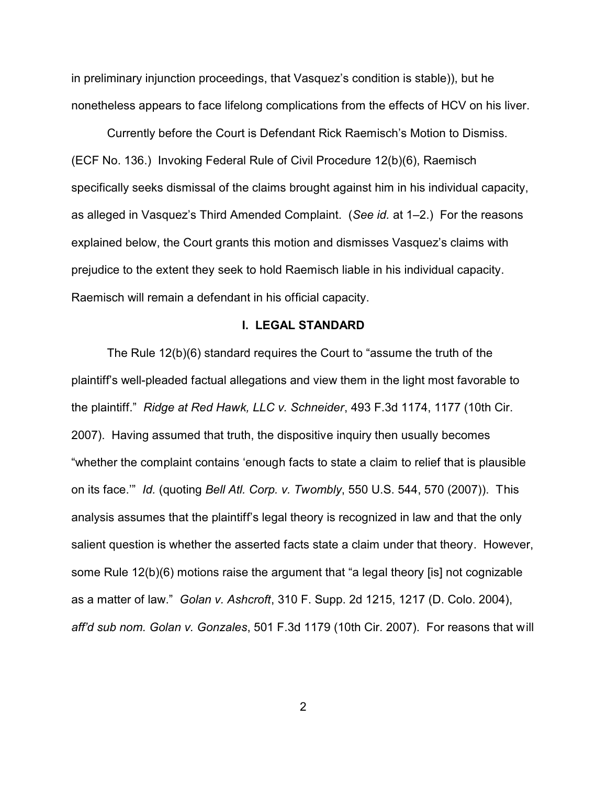in preliminary injunction proceedings, that Vasquez's condition is stable)), but he nonetheless appears to face lifelong complications from the effects of HCV on his liver.

Currently before the Court is Defendant Rick Raemisch's Motion to Dismiss. (ECF No. 136.) Invoking Federal Rule of Civil Procedure 12(b)(6), Raemisch specifically seeks dismissal of the claims brought against him in his individual capacity, as alleged in Vasquez's Third Amended Complaint. (*See id.* at 1–2.) For the reasons explained below, the Court grants this motion and dismisses Vasquez's claims with prejudice to the extent they seek to hold Raemisch liable in his individual capacity. Raemisch will remain a defendant in his official capacity.

#### **I. LEGAL STANDARD**

The Rule 12(b)(6) standard requires the Court to "assume the truth of the plaintiff's well-pleaded factual allegations and view them in the light most favorable to the plaintiff." *Ridge at Red Hawk, LLC v. Schneider*, 493 F.3d 1174, 1177 (10th Cir. 2007). Having assumed that truth, the dispositive inquiry then usually becomes "whether the complaint contains 'enough facts to state a claim to relief that is plausible on its face.'" *Id.* (quoting *Bell Atl. Corp. v. Twombly*, 550 U.S. 544, 570 (2007)). This analysis assumes that the plaintiff's legal theory is recognized in law and that the only salient question is whether the asserted facts state a claim under that theory. However, some Rule 12(b)(6) motions raise the argument that "a legal theory [is] not cognizable as a matter of law." *Golan v. Ashcroft*, 310 F. Supp. 2d 1215, 1217 (D. Colo. 2004), *aff'd sub nom. Golan v. Gonzales*, 501 F.3d 1179 (10th Cir. 2007). For reasons that will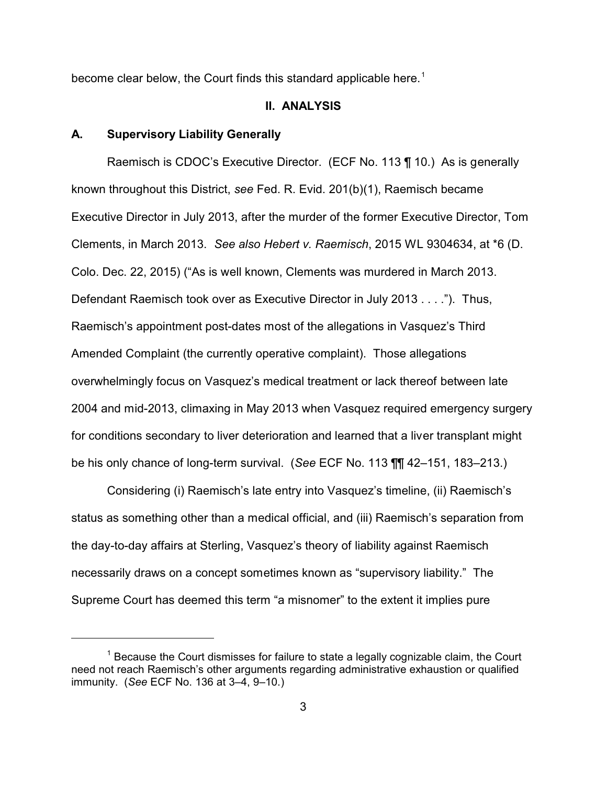become clear below, the Court finds this standard applicable here.<sup>1</sup>

#### **II. ANALYSIS**

#### **A. Supervisory Liability Generally**

Raemisch is CDOC's Executive Director. (ECF No. 113 ¶ 10.) As is generally known throughout this District, *see* Fed. R. Evid. 201(b)(1), Raemisch became Executive Director in July 2013, after the murder of the former Executive Director, Tom Clements, in March 2013. *See also Hebert v. Raemisch*, 2015 WL 9304634, at \*6 (D. Colo. Dec. 22, 2015) ("As is well known, Clements was murdered in March 2013. Defendant Raemisch took over as Executive Director in July 2013 . . . ."). Thus, Raemisch's appointment post-dates most of the allegations in Vasquez's Third Amended Complaint (the currently operative complaint). Those allegations overwhelmingly focus on Vasquez's medical treatment or lack thereof between late 2004 and mid-2013, climaxing in May 2013 when Vasquez required emergency surgery for conditions secondary to liver deterioration and learned that a liver transplant might be his only chance of long-term survival. (*See* ECF No. 113 ¶¶ 42–151, 183–213.)

Considering (i) Raemisch's late entry into Vasquez's timeline, (ii) Raemisch's status as something other than a medical official, and (iii) Raemisch's separation from the day-to-day affairs at Sterling, Vasquez's theory of liability against Raemisch necessarily draws on a concept sometimes known as "supervisory liability." The Supreme Court has deemed this term "a misnomer" to the extent it implies pure

 $1$  Because the Court dismisses for failure to state a legally cognizable claim, the Court need not reach Raemisch's other arguments regarding administrative exhaustion or qualified immunity. (*See* ECF No. 136 at 3–4, 9–10.)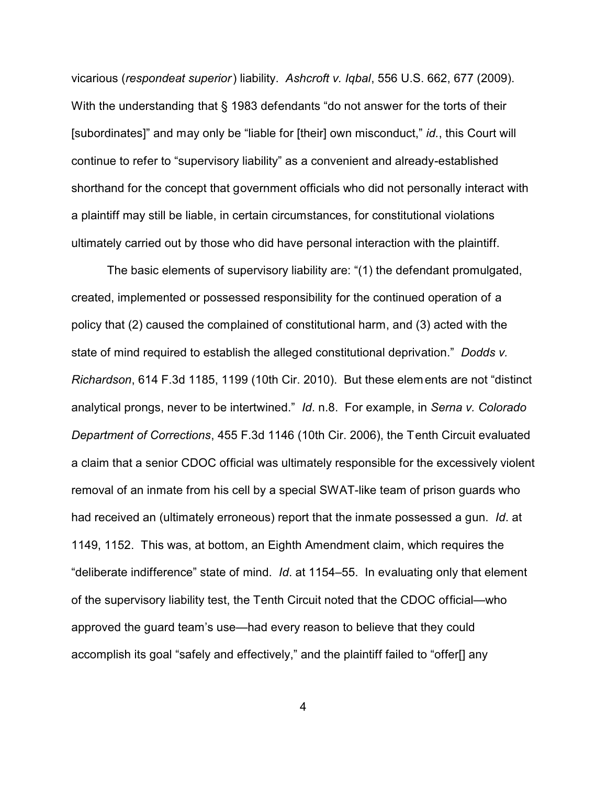vicarious (*respondeat superior*) liability. *Ashcroft v. Iqbal*, 556 U.S. 662, 677 (2009). With the understanding that § 1983 defendants "do not answer for the torts of their [subordinates]" and may only be "liable for [their] own misconduct," *id.*, this Court will continue to refer to "supervisory liability" as a convenient and already-established shorthand for the concept that government officials who did not personally interact with a plaintiff may still be liable, in certain circumstances, for constitutional violations ultimately carried out by those who did have personal interaction with the plaintiff.

The basic elements of supervisory liability are: "(1) the defendant promulgated, created, implemented or possessed responsibility for the continued operation of a policy that (2) caused the complained of constitutional harm, and (3) acted with the state of mind required to establish the alleged constitutional deprivation." *Dodds v. Richardson*, 614 F.3d 1185, 1199 (10th Cir. 2010). But these elements are not "distinct analytical prongs, never to be intertwined." *Id*. n.8. For example, in *Serna v. Colorado Department of Corrections*, 455 F.3d 1146 (10th Cir. 2006), the Tenth Circuit evaluated a claim that a senior CDOC official was ultimately responsible for the excessively violent removal of an inmate from his cell by a special SWAT-like team of prison guards who had received an (ultimately erroneous) report that the inmate possessed a gun. *Id*. at 1149, 1152. This was, at bottom, an Eighth Amendment claim, which requires the "deliberate indifference" state of mind. *Id*. at 1154–55. In evaluating only that element of the supervisory liability test, the Tenth Circuit noted that the CDOC official—who approved the guard team's use—had every reason to believe that they could accomplish its goal "safely and effectively," and the plaintiff failed to "offer[] any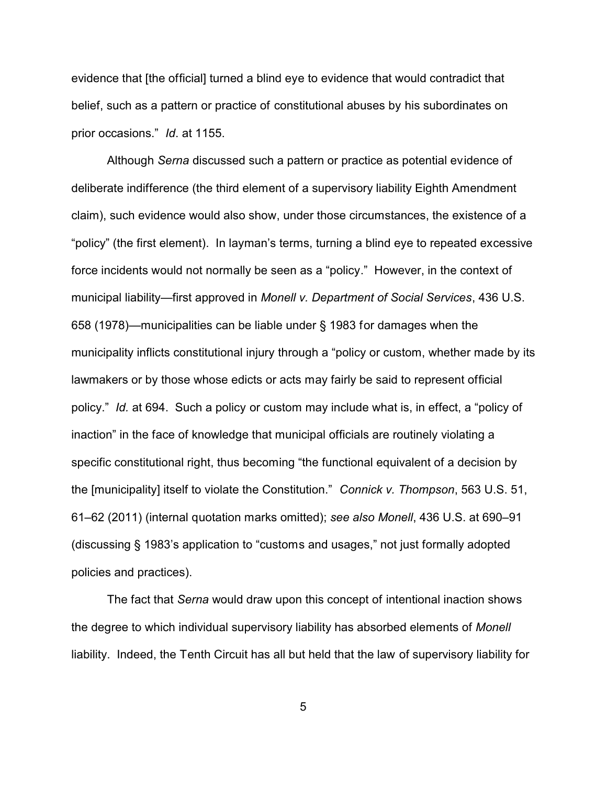evidence that [the official] turned a blind eye to evidence that would contradict that belief, such as a pattern or practice of constitutional abuses by his subordinates on prior occasions." *Id*. at 1155.

Although *Serna* discussed such a pattern or practice as potential evidence of deliberate indifference (the third element of a supervisory liability Eighth Amendment claim), such evidence would also show, under those circumstances, the existence of a "policy" (the first element). In layman's terms, turning a blind eye to repeated excessive force incidents would not normally be seen as a "policy." However, in the context of municipal liability—first approved in *Monell v. Department of Social Services*, 436 U.S. 658 (1978)—municipalities can be liable under § 1983 for damages when the municipality inflicts constitutional injury through a "policy or custom, whether made by its lawmakers or by those whose edicts or acts may fairly be said to represent official policy." *Id.* at 694. Such a policy or custom may include what is, in effect, a "policy of inaction" in the face of knowledge that municipal officials are routinely violating a specific constitutional right, thus becoming "the functional equivalent of a decision by the [municipality] itself to violate the Constitution." *Connick v. Thompson*, 563 U.S. 51, 61–62 (2011) (internal quotation marks omitted); *see also Monell*, 436 U.S. at 690–91 (discussing § 1983's application to "customs and usages," not just formally adopted policies and practices).

The fact that *Serna* would draw upon this concept of intentional inaction shows the degree to which individual supervisory liability has absorbed elements of *Monell* liability. Indeed, the Tenth Circuit has all but held that the law of supervisory liability for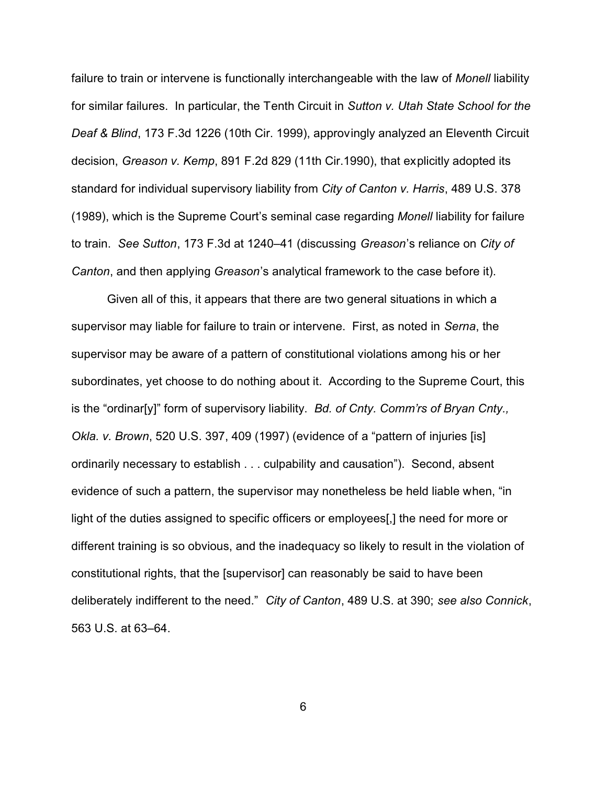failure to train or intervene is functionally interchangeable with the law of *Monell* liability for similar failures. In particular, the Tenth Circuit in *Sutton v. Utah State School for the Deaf & Blind*, 173 F.3d 1226 (10th Cir. 1999), approvingly analyzed an Eleventh Circuit decision, *Greason v. Kemp*, 891 F.2d 829 (11th Cir.1990), that explicitly adopted its standard for individual supervisory liability from *City of Canton v. Harris*, 489 U.S. 378 (1989), which is the Supreme Court's seminal case regarding *Monell* liability for failure to train. *See Sutton*, 173 F.3d at 1240–41 (discussing *Greason*'s reliance on *City of Canton*, and then applying *Greason*'s analytical framework to the case before it).

Given all of this, it appears that there are two general situations in which a supervisor may liable for failure to train or intervene. First, as noted in *Serna*, the supervisor may be aware of a pattern of constitutional violations among his or her subordinates, yet choose to do nothing about it. According to the Supreme Court, this is the "ordinar[y]" form of supervisory liability. *Bd. of Cnty. Comm'rs of Bryan Cnty., Okla. v. Brown*, 520 U.S. 397, 409 (1997) (evidence of a "pattern of injuries [is] ordinarily necessary to establish . . . culpability and causation"). Second, absent evidence of such a pattern, the supervisor may nonetheless be held liable when, "in light of the duties assigned to specific officers or employees[,] the need for more or different training is so obvious, and the inadequacy so likely to result in the violation of constitutional rights, that the [supervisor] can reasonably be said to have been deliberately indifferent to the need." *City of Canton*, 489 U.S. at 390; *see also Connick*, 563 U.S. at 63–64.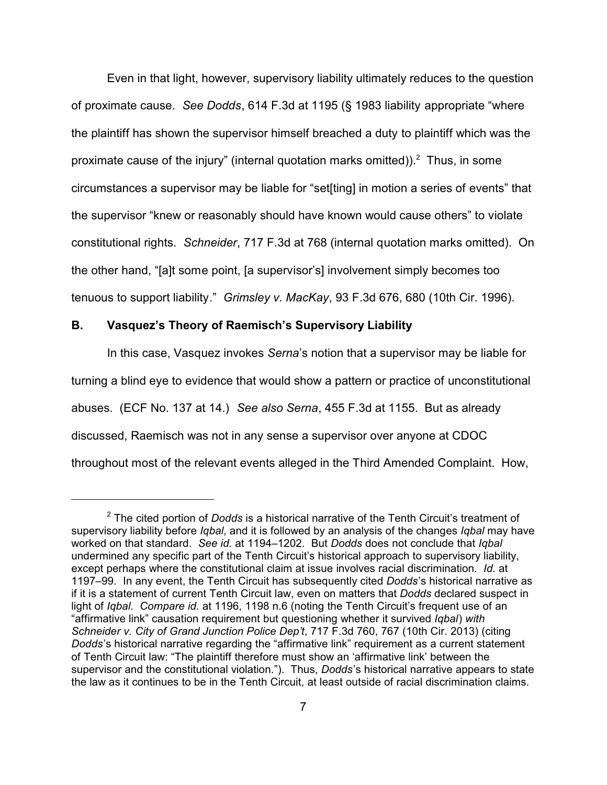Even in that light, however, supervisory liability ultimately reduces to the question of proximate cause. *See Dodds*, 614 F.3d at 1195 (§ 1983 liability appropriate "where the plaintiff has shown the supervisor himself breached a duty to plaintiff which was the proximate cause of the injury" (internal quotation marks omitted)).<sup>2</sup> Thus, in some circumstances a supervisor may be liable for "set[ting] in motion a series of events" that the supervisor "knew or reasonably should have known would cause others" to violate constitutional rights. *Schneider*, 717 F.3d at 768 (internal quotation marks omitted). On the other hand, "[a]t some point, [a supervisor's] involvement simply becomes too tenuous to support liability." *Grimsley v. MacKay*, 93 F.3d 676, 680 (10th Cir. 1996).

### **B. Vasquez's Theory of Raemisch's Supervisory Liability**

In this case, Vasquez invokes *Serna*'s notion that a supervisor may be liable for turning a blind eye to evidence that would show a pattern or practice of unconstitutional abuses. (ECF No. 137 at 14.) *See also Serna*, 455 F.3d at 1155. But as already discussed, Raemisch was not in any sense a supervisor over anyone at CDOC throughout most of the relevant events alleged in the Third Amended Complaint. How,

<sup>2</sup> The cited portion of *Dodds* is a historical narrative of the Tenth Circuit's treatment of supervisory liability before *Iqbal*, and it is followed by an analysis of the changes *Iqbal* may have worked on that standard. *See id.* at 1194–1202. But *Dodds* does not conclude that *Iqbal* undermined any specific part of the Tenth Circuit's historical approach to supervisory liability, except perhaps where the constitutional claim at issue involves racial discrimination. *Id.* at 1197–99. In any event, the Tenth Circuit has subsequently cited *Dodds*'s historical narrative as if it is a statement of current Tenth Circuit law, even on matters that *Dodds* declared suspect in light of *Iqbal*. *Compare id.* at 1196, 1198 n.6 (noting the Tenth Circuit's frequent use of an "affirmative link" causation requirement but questioning whether it survived *Iqbal*) *with Schneider v. City of Grand Junction Police Dep't*, 717 F.3d 760, 767 (10th Cir. 2013) (citing *Dodds*'s historical narrative regarding the "affirmative link" requirement as a current statement of Tenth Circuit law: "The plaintiff therefore must show an 'affirmative link' between the supervisor and the constitutional violation."). Thus, *Dodds*'s historical narrative appears to state the law as it continues to be in the Tenth Circuit, at least outside of racial discrimination claims.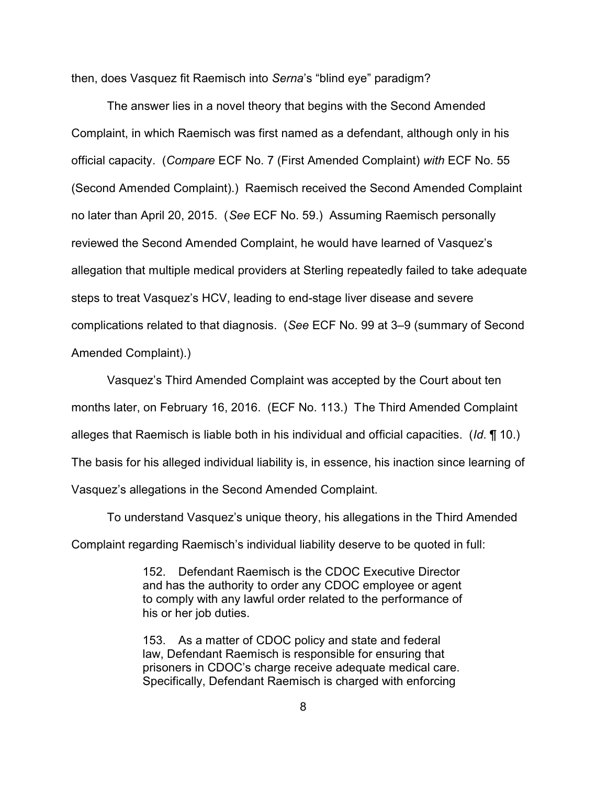then, does Vasquez fit Raemisch into *Serna*'s "blind eye" paradigm?

The answer lies in a novel theory that begins with the Second Amended Complaint, in which Raemisch was first named as a defendant, although only in his official capacity. (*Compare* ECF No. 7 (First Amended Complaint) *with* ECF No. 55 (Second Amended Complaint).) Raemisch received the Second Amended Complaint no later than April 20, 2015. (*See* ECF No. 59.) Assuming Raemisch personally reviewed the Second Amended Complaint, he would have learned of Vasquez's allegation that multiple medical providers at Sterling repeatedly failed to take adequate steps to treat Vasquez's HCV, leading to end-stage liver disease and severe complications related to that diagnosis. (*See* ECF No. 99 at 3–9 (summary of Second Amended Complaint).)

Vasquez's Third Amended Complaint was accepted by the Court about ten months later, on February 16, 2016. (ECF No. 113.) The Third Amended Complaint alleges that Raemisch is liable both in his individual and official capacities. (*Id*. ¶ 10.) The basis for his alleged individual liability is, in essence, his inaction since learning of Vasquez's allegations in the Second Amended Complaint.

To understand Vasquez's unique theory, his allegations in the Third Amended Complaint regarding Raemisch's individual liability deserve to be quoted in full:

> 152. Defendant Raemisch is the CDOC Executive Director and has the authority to order any CDOC employee or agent to comply with any lawful order related to the performance of his or her job duties.

153. As a matter of CDOC policy and state and federal law, Defendant Raemisch is responsible for ensuring that prisoners in CDOC's charge receive adequate medical care. Specifically, Defendant Raemisch is charged with enforcing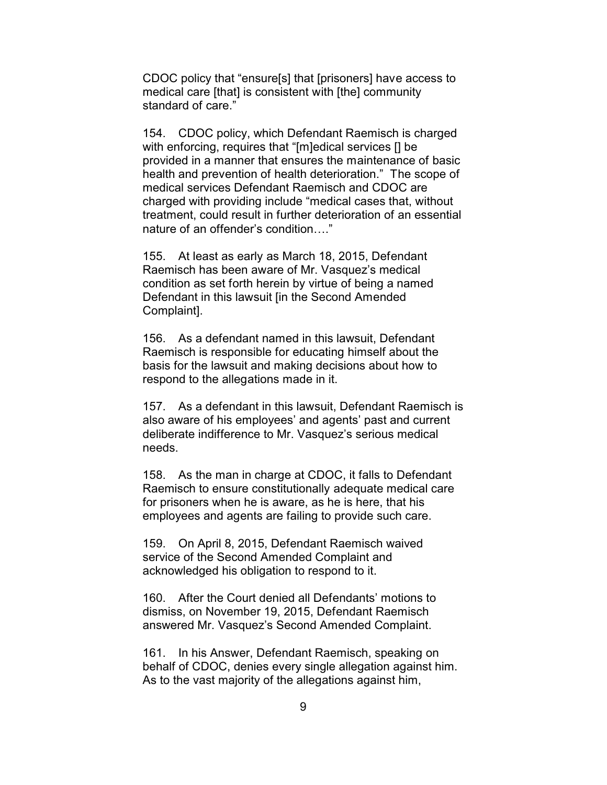CDOC policy that "ensure[s] that [prisoners] have access to medical care [that] is consistent with [the] community standard of care."

154. CDOC policy, which Defendant Raemisch is charged with enforcing, requires that "[m]edical services [] be provided in a manner that ensures the maintenance of basic health and prevention of health deterioration." The scope of medical services Defendant Raemisch and CDOC are charged with providing include "medical cases that, without treatment, could result in further deterioration of an essential nature of an offender's condition…."

155. At least as early as March 18, 2015, Defendant Raemisch has been aware of Mr. Vasquez's medical condition as set forth herein by virtue of being a named Defendant in this lawsuit [in the Second Amended Complaint].

156. As a defendant named in this lawsuit, Defendant Raemisch is responsible for educating himself about the basis for the lawsuit and making decisions about how to respond to the allegations made in it.

157. As a defendant in this lawsuit, Defendant Raemisch is also aware of his employees' and agents' past and current deliberate indifference to Mr. Vasquez's serious medical needs.

158. As the man in charge at CDOC, it falls to Defendant Raemisch to ensure constitutionally adequate medical care for prisoners when he is aware, as he is here, that his employees and agents are failing to provide such care.

159. On April 8, 2015, Defendant Raemisch waived service of the Second Amended Complaint and acknowledged his obligation to respond to it.

160. After the Court denied all Defendants' motions to dismiss, on November 19, 2015, Defendant Raemisch answered Mr. Vasquez's Second Amended Complaint.

161. In his Answer, Defendant Raemisch, speaking on behalf of CDOC, denies every single allegation against him. As to the vast majority of the allegations against him,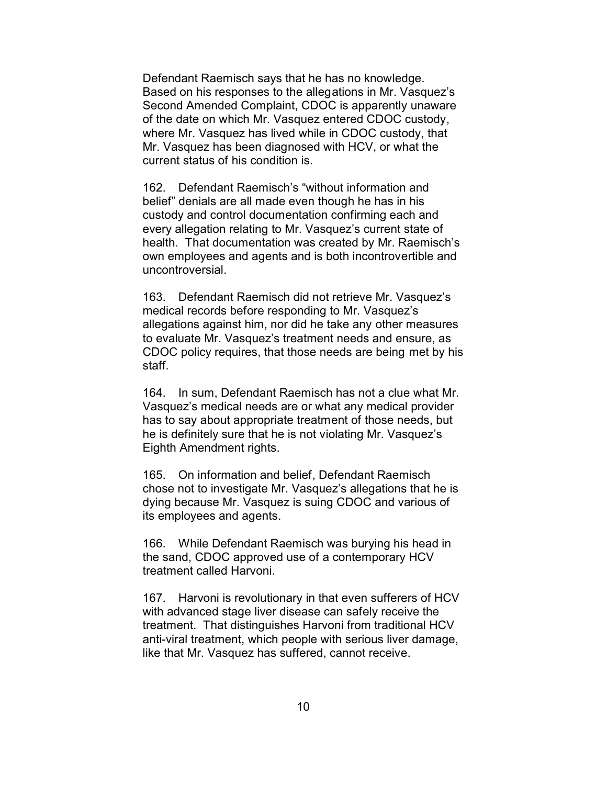Defendant Raemisch says that he has no knowledge. Based on his responses to the allegations in Mr. Vasquez's Second Amended Complaint, CDOC is apparently unaware of the date on which Mr. Vasquez entered CDOC custody, where Mr. Vasquez has lived while in CDOC custody, that Mr. Vasquez has been diagnosed with HCV, or what the current status of his condition is.

162. Defendant Raemisch's "without information and belief" denials are all made even though he has in his custody and control documentation confirming each and every allegation relating to Mr. Vasquez's current state of health. That documentation was created by Mr. Raemisch's own employees and agents and is both incontrovertible and uncontroversial.

163. Defendant Raemisch did not retrieve Mr. Vasquez's medical records before responding to Mr. Vasquez's allegations against him, nor did he take any other measures to evaluate Mr. Vasquez's treatment needs and ensure, as CDOC policy requires, that those needs are being met by his staff.

164. In sum, Defendant Raemisch has not a clue what Mr. Vasquez's medical needs are or what any medical provider has to say about appropriate treatment of those needs, but he is definitely sure that he is not violating Mr. Vasquez's Eighth Amendment rights.

165. On information and belief, Defendant Raemisch chose not to investigate Mr. Vasquez's allegations that he is dying because Mr. Vasquez is suing CDOC and various of its employees and agents.

166. While Defendant Raemisch was burying his head in the sand, CDOC approved use of a contemporary HCV treatment called Harvoni.

167. Harvoni is revolutionary in that even sufferers of HCV with advanced stage liver disease can safely receive the treatment. That distinguishes Harvoni from traditional HCV anti-viral treatment, which people with serious liver damage, like that Mr. Vasquez has suffered, cannot receive.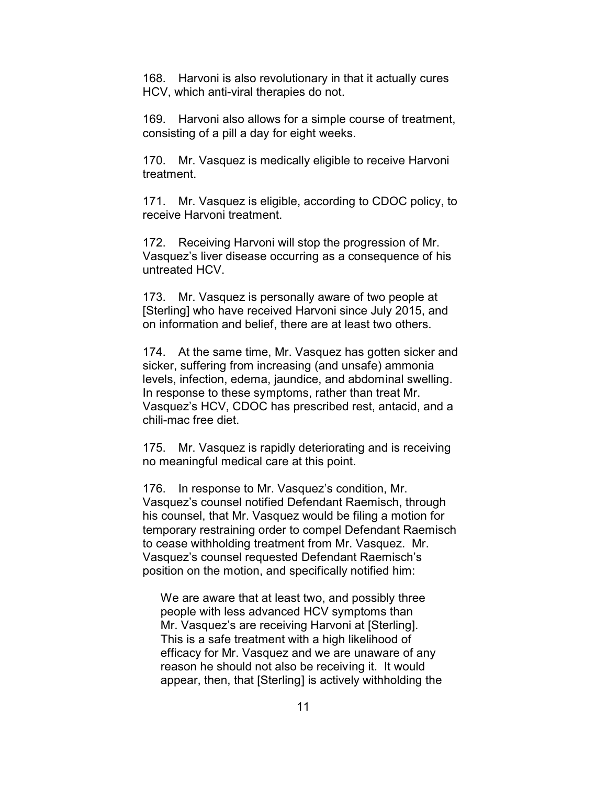168. Harvoni is also revolutionary in that it actually cures HCV, which anti-viral therapies do not.

169. Harvoni also allows for a simple course of treatment, consisting of a pill a day for eight weeks.

170. Mr. Vasquez is medically eligible to receive Harvoni treatment.

171. Mr. Vasquez is eligible, according to CDOC policy, to receive Harvoni treatment.

172. Receiving Harvoni will stop the progression of Mr. Vasquez's liver disease occurring as a consequence of his untreated HCV.

173. Mr. Vasquez is personally aware of two people at [Sterling] who have received Harvoni since July 2015, and on information and belief, there are at least two others.

174. At the same time, Mr. Vasquez has gotten sicker and sicker, suffering from increasing (and unsafe) ammonia levels, infection, edema, jaundice, and abdominal swelling. In response to these symptoms, rather than treat Mr. Vasquez's HCV, CDOC has prescribed rest, antacid, and a chili-mac free diet.

175. Mr. Vasquez is rapidly deteriorating and is receiving no meaningful medical care at this point.

176. In response to Mr. Vasquez's condition, Mr. Vasquez's counsel notified Defendant Raemisch, through his counsel, that Mr. Vasquez would be filing a motion for temporary restraining order to compel Defendant Raemisch to cease withholding treatment from Mr. Vasquez. Mr. Vasquez's counsel requested Defendant Raemisch's position on the motion, and specifically notified him:

We are aware that at least two, and possibly three people with less advanced HCV symptoms than Mr. Vasquez's are receiving Harvoni at [Sterling]. This is a safe treatment with a high likelihood of efficacy for Mr. Vasquez and we are unaware of any reason he should not also be receiving it. It would appear, then, that [Sterling] is actively withholding the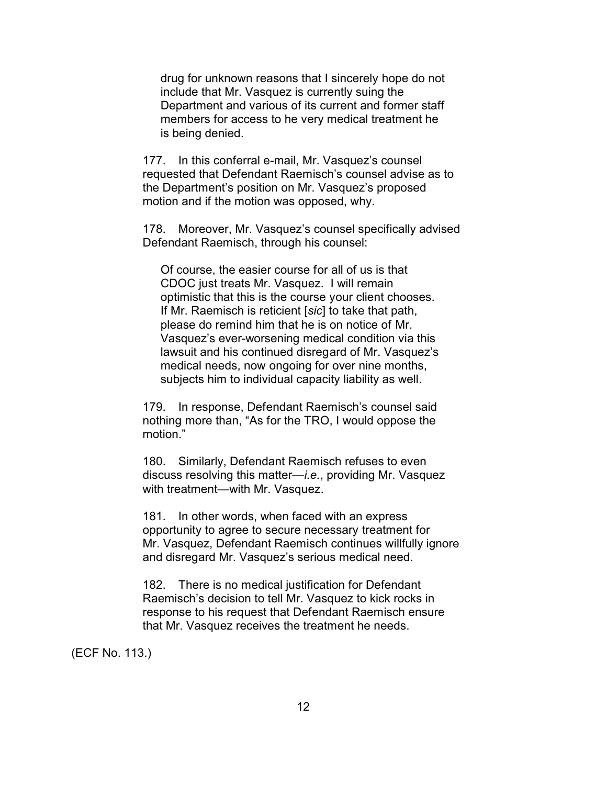drug for unknown reasons that I sincerely hope do not include that Mr. Vasquez is currently suing the Department and various of its current and former staff members for access to he very medical treatment he is being denied.

177. In this conferral e-mail, Mr. Vasquez's counsel requested that Defendant Raemisch's counsel advise as to the Department's position on Mr. Vasquez's proposed motion and if the motion was opposed, why.

178. Moreover, Mr. Vasquez's counsel specifically advised Defendant Raemisch, through his counsel:

Of course, the easier course for all of us is that CDOC just treats Mr. Vasquez. I will remain optimistic that this is the course your client chooses. If Mr. Raemisch is reticient [*sic*] to take that path, please do remind him that he is on notice of Mr. Vasquez's ever-worsening medical condition via this lawsuit and his continued disregard of Mr. Vasquez's medical needs, now ongoing for over nine months, subjects him to individual capacity liability as well.

179. In response, Defendant Raemisch's counsel said nothing more than, "As for the TRO, I would oppose the motion."

180. Similarly, Defendant Raemisch refuses to even discuss resolving this matter—*i.e.*, providing Mr. Vasquez with treatment—with Mr. Vasquez.

181. In other words, when faced with an express opportunity to agree to secure necessary treatment for Mr. Vasquez, Defendant Raemisch continues willfully ignore and disregard Mr. Vasquez's serious medical need.

182. There is no medical justification for Defendant Raemisch's decision to tell Mr. Vasquez to kick rocks in response to his request that Defendant Raemisch ensure that Mr. Vasquez receives the treatment he needs.

(ECF No. 113.)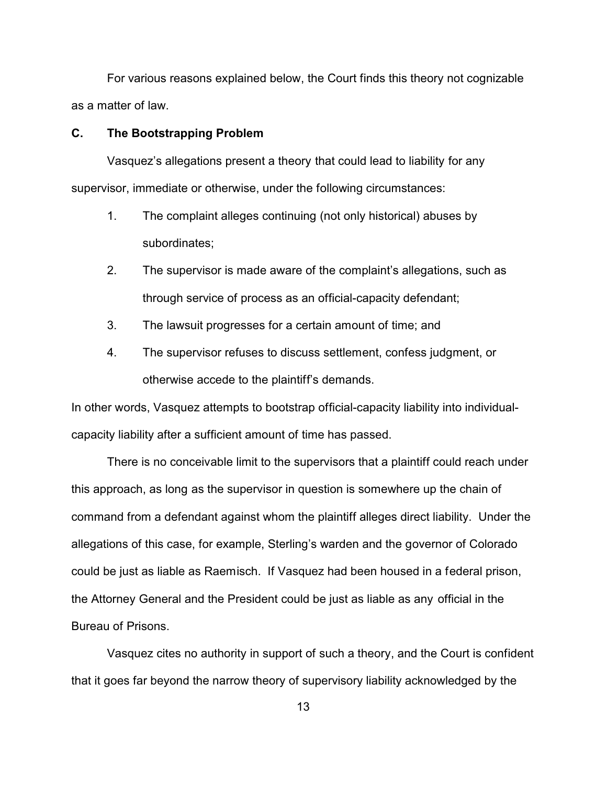For various reasons explained below, the Court finds this theory not cognizable as a matter of law.

### **C. The Bootstrapping Problem**

Vasquez's allegations present a theory that could lead to liability for any supervisor, immediate or otherwise, under the following circumstances:

- 1. The complaint alleges continuing (not only historical) abuses by subordinates;
- 2. The supervisor is made aware of the complaint's allegations, such as through service of process as an official-capacity defendant;
- 3. The lawsuit progresses for a certain amount of time; and
- 4. The supervisor refuses to discuss settlement, confess judgment, or otherwise accede to the plaintiff's demands.

In other words, Vasquez attempts to bootstrap official-capacity liability into individualcapacity liability after a sufficient amount of time has passed.

There is no conceivable limit to the supervisors that a plaintiff could reach under this approach, as long as the supervisor in question is somewhere up the chain of command from a defendant against whom the plaintiff alleges direct liability. Under the allegations of this case, for example, Sterling's warden and the governor of Colorado could be just as liable as Raemisch. If Vasquez had been housed in a federal prison, the Attorney General and the President could be just as liable as any official in the Bureau of Prisons.

Vasquez cites no authority in support of such a theory, and the Court is confident that it goes far beyond the narrow theory of supervisory liability acknowledged by the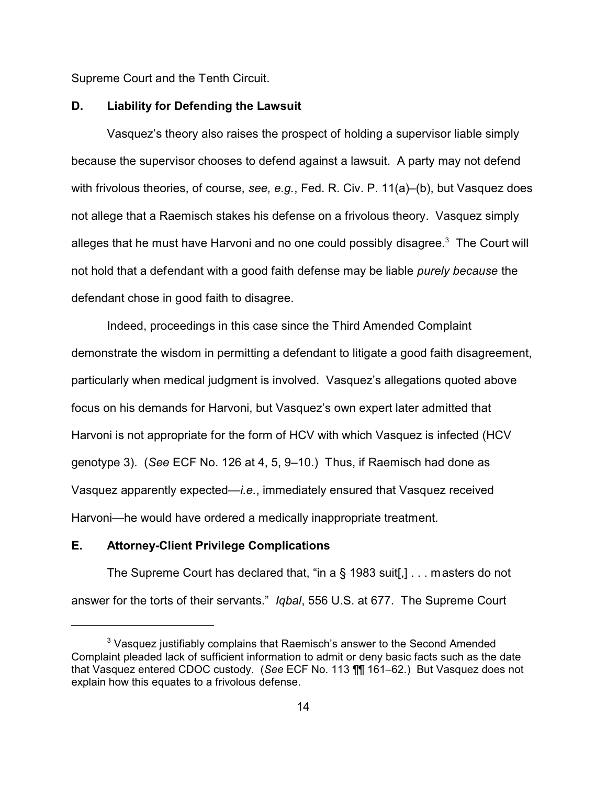Supreme Court and the Tenth Circuit.

#### **D. Liability for Defending the Lawsuit**

Vasquez's theory also raises the prospect of holding a supervisor liable simply because the supervisor chooses to defend against a lawsuit. A party may not defend with frivolous theories, of course, *see, e.g.*, Fed. R. Civ. P. 11(a)–(b), but Vasquez does not allege that a Raemisch stakes his defense on a frivolous theory. Vasquez simply alleges that he must have Harvoni and no one could possibly disagree. $^3\,$  The Court will not hold that a defendant with a good faith defense may be liable *purely because* the defendant chose in good faith to disagree.

Indeed, proceedings in this case since the Third Amended Complaint demonstrate the wisdom in permitting a defendant to litigate a good faith disagreement, particularly when medical judgment is involved. Vasquez's allegations quoted above focus on his demands for Harvoni, but Vasquez's own expert later admitted that Harvoni is not appropriate for the form of HCV with which Vasquez is infected (HCV genotype 3). (*See* ECF No. 126 at 4, 5, 9–10.) Thus, if Raemisch had done as Vasquez apparently expected—*i.e.*, immediately ensured that Vasquez received Harvoni—he would have ordered a medically inappropriate treatment.

# **E. Attorney-Client Privilege Complications**

The Supreme Court has declared that, "in a § 1983 suit[,] . . . masters do not answer for the torts of their servants." *Iqbal*, 556 U.S. at 677. The Supreme Court

 $3$  Vasquez justifiably complains that Raemisch's answer to the Second Amended Complaint pleaded lack of sufficient information to admit or deny basic facts such as the date that Vasquez entered CDOC custody. (*See* ECF No. 113 ¶¶ 161–62.) But Vasquez does not explain how this equates to a frivolous defense.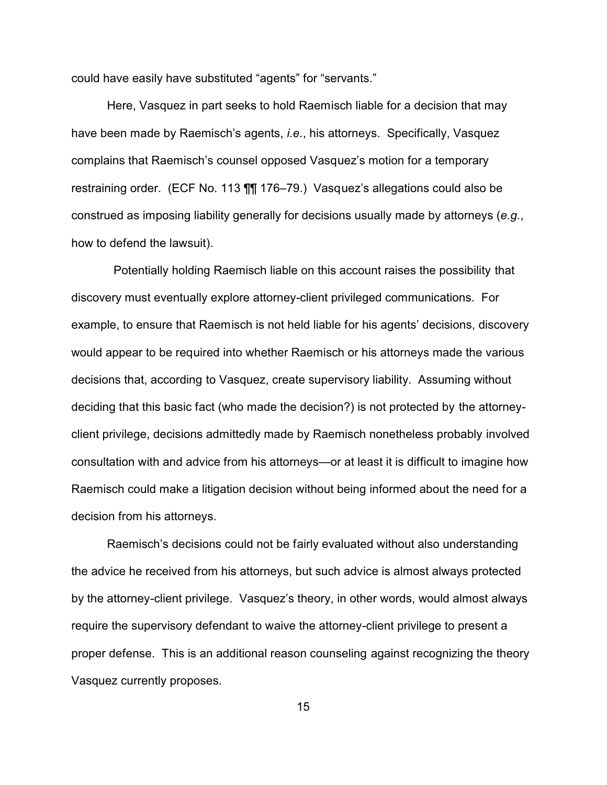could have easily have substituted "agents" for "servants."

Here, Vasquez in part seeks to hold Raemisch liable for a decision that may have been made by Raemisch's agents, *i.e.*, his attorneys. Specifically, Vasquez complains that Raemisch's counsel opposed Vasquez's motion for a temporary restraining order. (ECF No. 113 ¶¶ 176–79.) Vasquez's allegations could also be construed as imposing liability generally for decisions usually made by attorneys (*e.g.*, how to defend the lawsuit).

 Potentially holding Raemisch liable on this account raises the possibility that discovery must eventually explore attorney-client privileged communications. For example, to ensure that Raemisch is not held liable for his agents' decisions, discovery would appear to be required into whether Raemisch or his attorneys made the various decisions that, according to Vasquez, create supervisory liability. Assuming without deciding that this basic fact (who made the decision?) is not protected by the attorneyclient privilege, decisions admittedly made by Raemisch nonetheless probably involved consultation with and advice from his attorneys—or at least it is difficult to imagine how Raemisch could make a litigation decision without being informed about the need for a decision from his attorneys.

Raemisch's decisions could not be fairly evaluated without also understanding the advice he received from his attorneys, but such advice is almost always protected by the attorney-client privilege. Vasquez's theory, in other words, would almost always require the supervisory defendant to waive the attorney-client privilege to present a proper defense. This is an additional reason counseling against recognizing the theory Vasquez currently proposes.